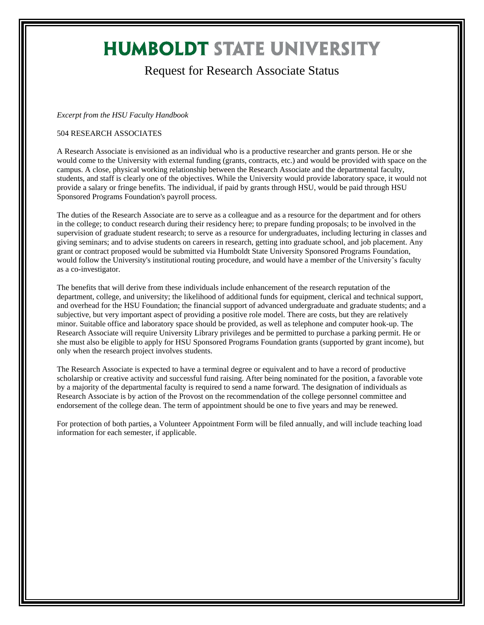## **HUMBOLDT STATE UNIVERSITY**

## Request for Research Associate Status

## *Excerpt from the HSU Faculty Handbook*

## 504 RESEARCH ASSOCIATES

A Research Associate is envisioned as an individual who is a productive researcher and grants person. He or she would come to the University with external funding (grants, contracts, etc.) and would be provided with space on the campus. A close, physical working relationship between the Research Associate and the departmental faculty, students, and staff is clearly one of the objectives. While the University would provide laboratory space, it would not provide a salary or fringe benefits. The individual, if paid by grants through HSU, would be paid through HSU Sponsored Programs Foundation's payroll process.

The duties of the Research Associate are to serve as a colleague and as a resource for the department and for others in the college; to conduct research during their residency here; to prepare funding proposals; to be involved in the supervision of graduate student research; to serve as a resource for undergraduates, including lecturing in classes and giving seminars; and to advise students on careers in research, getting into graduate school, and job placement. Any grant or contract proposed would be submitted via Humboldt State University Sponsored Programs Foundation, would follow the University's institutional routing procedure, and would have a member of the University's faculty as a co-investigator.

The benefits that will derive from these individuals include enhancement of the research reputation of the department, college, and university; the likelihood of additional funds for equipment, clerical and technical support, and overhead for the HSU Foundation; the financial support of advanced undergraduate and graduate students; and a subjective, but very important aspect of providing a positive role model. There are costs, but they are relatively minor. Suitable office and laboratory space should be provided, as well as telephone and computer hook-up. The Research Associate will require University Library privileges and be permitted to purchase a parking permit. He or she must also be eligible to apply for HSU Sponsored Programs Foundation grants (supported by grant income), but only when the research project involves students.

The Research Associate is expected to have a terminal degree or equivalent and to have a record of productive scholarship or creative activity and successful fund raising. After being nominated for the position, a favorable vote by a majority of the departmental faculty is required to send a name forward. The designation of individuals as Research Associate is by action of the Provost on the recommendation of the college personnel committee and endorsement of the college dean. The term of appointment should be one to five years and may be renewed.

For protection of both parties, a Volunteer Appointment Form will be filed annually, and will include teaching load information for each semester, if applicable.